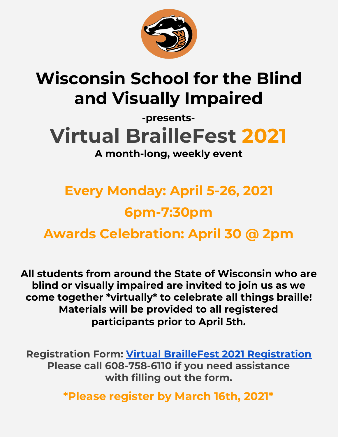

## **Wisconsin School for the Blind and Visually Impaired**

## **-presents-Virtual BrailleFest 2021 A month-long, weekly event**

## **Every Monday: April 5-26, 2021 6pm-7:30pm Awards Celebration: April 30 @ 2pm**

**All students from around the State of Wisconsin who are blind or visually impaired are invited to join us as we come together \*virtually\* to celebrate all things braille! Materials will be provided to all registered participants prior to April 5th.**

**Registration Form: Virtual BrailleFest 2021 [Registration](https://forms.gle/FJNz7qzC2bQrXBJ37) Please call 608-758-6110 if you need assistance with filling out the form.**

**\*Please register by March 16th, 2021\***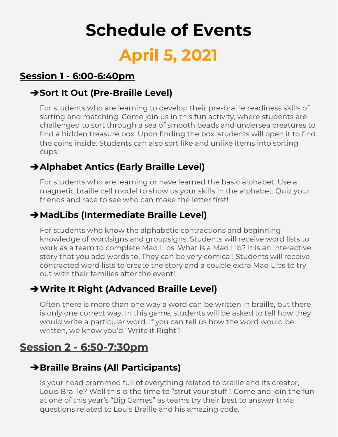# **Schedule of Events April 5, 2021**

### **Session 1 - 6:00-6:40pm**

#### ➔**Sort It Out (Pre-Braille Level)**

For students who are learning to develop their pre-braille readiness skills of sorting and matching. Come join us in this fun activity, where students are challenged to sort through a sea of smooth beads and undersea creatures to find a hidden treasure box. Upon finding the box, students will open it to find the coins inside. Students can also sort like and unlike items into sorting cups.

### ➔**Alphabet Antics (Early Braille Level)**

For students who are learning or have learned the basic alphabet. Use a magnetic braille cell model to show us your skills in the alphabet. Quiz your friends and race to see who can make the letter first!

#### ➔**MadLibs (Intermediate Braille Level)**

For students who know the alphabetic contractions and beginning knowledge of wordsigns and groupsigns. Students will receive word lists to work as a team to complete Mad Libs. What is a Mad Lib? It is an interactive story that you add words to. They can be very comical! Students will receive contracted word lists to create the story and a couple extra Mad Libs to try out with their families after the event!

### ➔**Write It Right (Advanced Braille Level)**

Often there is more than one way a word can be written in braille, but there is only one correct way. In this game, students will be asked to tell how they would write a particular word. If you can tell us how the word would be written, we know you'd "Write it Right"!

### **Session 2 - 6:50-7:30pm**

### ➔**Braille Brains (All Participants)**

Is your head crammed full of everything related to braille and its creator, Louis Braille? Well this is the time to "strut your stuff"! Come and join the fun at one of this year's "Big Games" as teams try their best to answer trivia questions related to Louis Braille and his amazing code.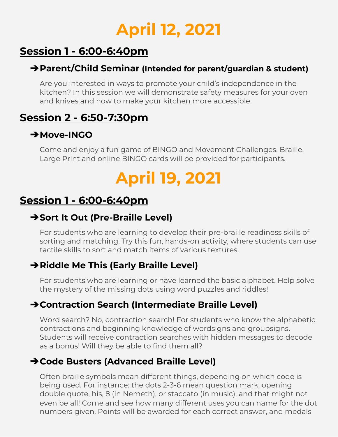## **April 12, 2021**

## **Session 1 - 6:00-6:40pm**

### ➔**Parent/Child Seminar (Intended for parent/guardian & student)**

Are you interested in ways to promote your child's independence in the kitchen? In this session we will demonstrate safety measures for your oven and knives and how to make your kitchen more accessible.

### **Session 2 - 6:50-7:30pm**

### ➔**Move-INGO**

Come and enjoy a fun game of BINGO and Movement Challenges. Braille, Large Print and online BINGO cards will be provided for participants.

## **April 19, 2021**

### **Session 1 - 6:00-6:40pm**

### ➔**Sort It Out (Pre-Braille Level)**

For students who are learning to develop their pre-braille readiness skills of sorting and matching. Try this fun, hands-on activity, where students can use tactile skills to sort and match items of various textures.

### ➔**Riddle Me This (Early Braille Level)**

For students who are learning or have learned the basic alphabet. Help solve the mystery of the missing dots using word puzzles and riddles!

### ➔**Contraction Search (Intermediate Braille Level)**

Word search? No, contraction search! For students who know the alphabetic contractions and beginning knowledge of wordsigns and groupsigns. Students will receive contraction searches with hidden messages to decode as a bonus! Will they be able to find them all?

### ➔**Code Busters (Advanced Braille Level)**

Often braille symbols mean different things, depending on which code is being used. For instance: the dots 2-3-6 mean question mark, opening double quote, his, 8 (in Nemeth), or staccato (in music), and that might not even be all! Come and see how many different uses you can name for the dot numbers given. Points will be awarded for each correct answer, and medals